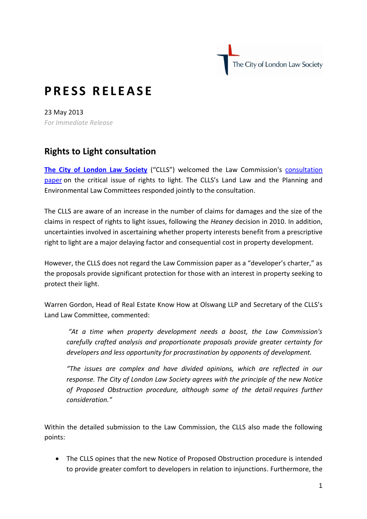The City of London Law Society

## **P R E S S R E L E A S E**

23 May 2013 *For Immediate Release* 

## **Rights to Light consultation**

**[The City of London Law Society](http://www.citysolicitors.org.uk/)** ("CLLS") welcomed the Law Commission's [consultation](http://lawcommission.justice.gov.uk/consultations/rights-to-light.htm)  [paper](http://lawcommission.justice.gov.uk/consultations/rights-to-light.htm) on the critical issue of rights to light. The CLLS's Land Law and the Planning and Environmental Law Committees responded jointly to the consultation.

The CLLS are aware of an increase in the number of claims for damages and the size of the claims in respect of rights to light issues, following the *Heaney* decision in 2010. In addition, uncertainties involved in ascertaining whether property interests benefit from a prescriptive right to light are a major delaying factor and consequential cost in property development.

However, the CLLS does not regard the Law Commission paper as a "developer's charter," as the proposals provide significant protection for those with an interest in property seeking to protect their light.

Warren Gordon, Head of Real Estate Know How at Olswang LLP and Secretary of the CLLS's Land Law Committee, commented:

*"At a time when property development needs a boost, the Law Commission's carefully crafted analysis and proportionate proposals provide greater certainty for developers and less opportunity for procrastination by opponents of development.* 

*"The issues are complex and have divided opinions, which are reflected in our response. The City of London Law Society agrees with the principle of the new Notice of Proposed Obstruction procedure, although some of the detail requires further consideration."*

Within the detailed submission to the Law Commission, the CLLS also made the following points:

 The CLLS opines that the new Notice of Proposed Obstruction procedure is intended to provide greater comfort to developers in relation to injunctions. Furthermore, the